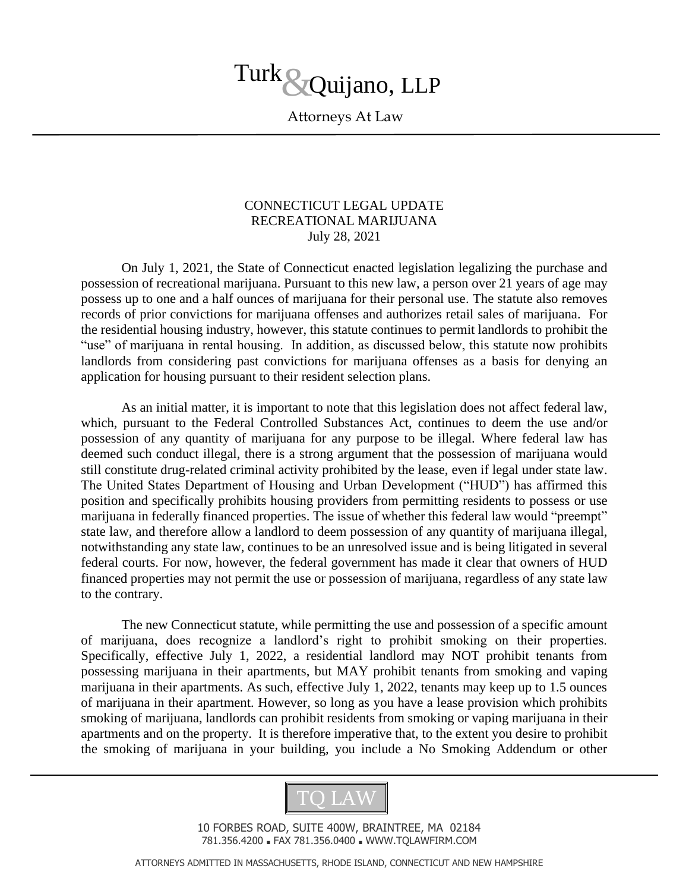

Attorneys At Law

## CONNECTICUT LEGAL UPDATE RECREATIONAL MARIJUANA July 28, 2021

On July 1, 2021, the State of Connecticut enacted legislation legalizing the purchase and possession of recreational marijuana. Pursuant to this new law, a person over 21 years of age may possess up to one and a half ounces of marijuana for their personal use. The statute also removes records of prior convictions for marijuana offenses and authorizes retail sales of marijuana. For the residential housing industry, however, this statute continues to permit landlords to prohibit the "use" of marijuana in rental housing. In addition, as discussed below, this statute now prohibits landlords from considering past convictions for marijuana offenses as a basis for denying an application for housing pursuant to their resident selection plans.

As an initial matter, it is important to note that this legislation does not affect federal law, which, pursuant to the Federal Controlled Substances Act, continues to deem the use and/or possession of any quantity of marijuana for any purpose to be illegal. Where federal law has deemed such conduct illegal, there is a strong argument that the possession of marijuana would still constitute drug-related criminal activity prohibited by the lease, even if legal under state law. The United States Department of Housing and Urban Development ("HUD") has affirmed this position and specifically prohibits housing providers from permitting residents to possess or use marijuana in federally financed properties. The issue of whether this federal law would "preempt" state law, and therefore allow a landlord to deem possession of any quantity of marijuana illegal, notwithstanding any state law, continues to be an unresolved issue and is being litigated in several federal courts. For now, however, the federal government has made it clear that owners of HUD financed properties may not permit the use or possession of marijuana, regardless of any state law to the contrary.

The new Connecticut statute, while permitting the use and possession of a specific amount of marijuana, does recognize a landlord's right to prohibit smoking on their properties. Specifically, effective July 1, 2022, a residential landlord may NOT prohibit tenants from possessing marijuana in their apartments, but MAY prohibit tenants from smoking and vaping marijuana in their apartments. As such, effective July 1, 2022, tenants may keep up to 1.5 ounces of marijuana in their apartment. However, so long as you have a lease provision which prohibits smoking of marijuana, landlords can prohibit residents from smoking or vaping marijuana in their apartments and on the property. It is therefore imperative that, to the extent you desire to prohibit the smoking of marijuana in your building, you include a No Smoking Addendum or other



10 FORBES ROAD, SUITE 400W, BRAINTREE, MA 02184 781.356.4200 ■ FAX 781.356.0400 ■ WWW.TQLAWFIRM.COM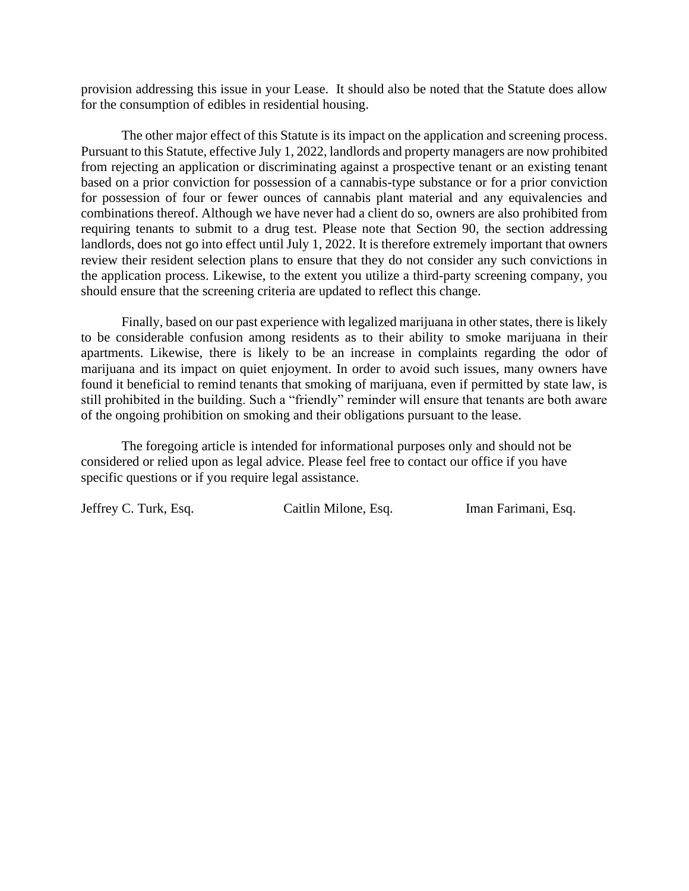provision addressing this issue in your Lease. It should also be noted that the Statute does allow for the consumption of edibles in residential housing.

The other major effect of this Statute is its impact on the application and screening process. Pursuant to this Statute, effective July 1, 2022, landlords and property managers are now prohibited from rejecting an application or discriminating against a prospective tenant or an existing tenant based on a prior conviction for possession of a cannabis-type substance or for a prior conviction for possession of four or fewer ounces of cannabis plant material and any equivalencies and combinations thereof. Although we have never had a client do so, owners are also prohibited from requiring tenants to submit to a drug test. Please note that Section 90, the section addressing landlords, does not go into effect until July 1, 2022. It is therefore extremely important that owners review their resident selection plans to ensure that they do not consider any such convictions in the application process. Likewise, to the extent you utilize a third-party screening company, you should ensure that the screening criteria are updated to reflect this change.

Finally, based on our past experience with legalized marijuana in other states, there is likely to be considerable confusion among residents as to their ability to smoke marijuana in their apartments. Likewise, there is likely to be an increase in complaints regarding the odor of marijuana and its impact on quiet enjoyment. In order to avoid such issues, many owners have found it beneficial to remind tenants that smoking of marijuana, even if permitted by state law, is still prohibited in the building. Such a "friendly" reminder will ensure that tenants are both aware of the ongoing prohibition on smoking and their obligations pursuant to the lease.

The foregoing article is intended for informational purposes only and should not be considered or relied upon as legal advice. Please feel free to contact our office if you have specific questions or if you require legal assistance.

Jeffrey C. Turk, Esq. Caitlin Milone, Esq. Iman Farimani, Esq.